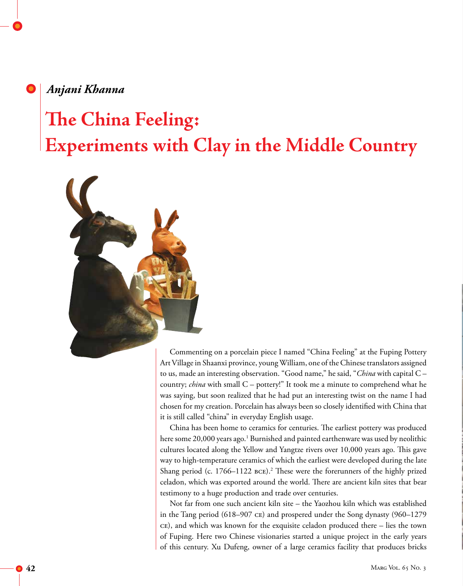## *Anjani Khanna*

# **The China Feeling: Experiments with Clay in the Middle Country**



Commenting on a porcelain piece I named "China Feeling" at the Fuping Pottery Art Village in Shaanxi province, young William, one of the Chinese translators assigned to us, made an interesting observation. "Good name," he said, "*China* with capital C – country; *china* with small C – pottery!" It took me a minute to comprehend what he was saying, but soon realized that he had put an interesting twist on the name I had chosen for my creation. Porcelain has always been so closely identified with China that it is still called "china" in everyday English usage.

China has been home to ceramics for centuries. The earliest pottery was produced here some 20,000 years ago.<sup>1</sup> Burnished and painted earthenware was used by neolithic cultures located along the Yellow and Yangtze rivers over 10,000 years ago. This gave way to high-temperature ceramics of which the earliest were developed during the late Shang period (c. 1766–1122 BCE).<sup>2</sup> These were the forerunners of the highly prized celadon, which was exported around the world. There are ancient kiln sites that bear testimony to a huge production and trade over centuries.

Not far from one such ancient kiln site – the Yaozhou kiln which was established in the Tang period (618–907 ce) and prospered under the Song dynasty (960–1279 ce), and which was known for the exquisite celadon produced there – lies the town of Fuping. Here two Chinese visionaries started a unique project in the early years of this century. Xu Dufeng, owner of a large ceramics facility that produces bricks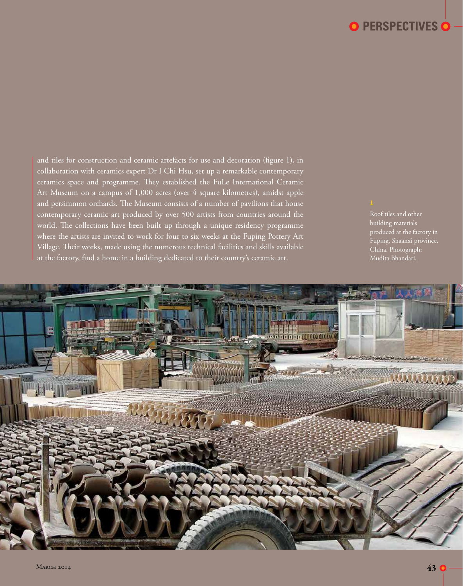# **PERSPECTIVES**

and tiles for construction and ceramic artefacts for use and decoration (figure 1), in collaboration with ceramics expert Dr I Chi Hsu, set up a remarkable contemporary ceramics space and programme. They established the FuLe International Ceramic Art Museum on a campus of 1,000 acres (over 4 square kilometres), amidst apple and persimmon orchards. The Museum consists of a number of pavilions that house contemporary ceramic art produced by over 500 artists from countries around the world. The collections have been built up through a unique residency programme where the artists are invited to work for four to six weeks at the Fuping Pottery Art Village. Their works, made using the numerous technical facilities and skills available at the factory, find a home in a building dedicated to their country's ceramic art.

Roof tiles and other building materials produced at the factory in Fuping, Shaanxi province, China. Photograph: Mudita Bhandari.

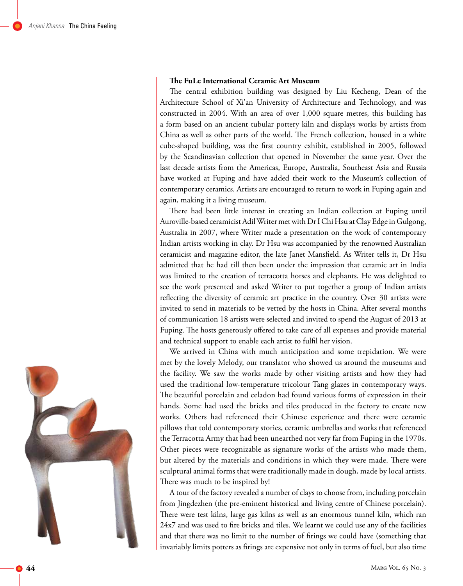#### **The FuLe International Ceramic Art Museum**

The central exhibition building was designed by Liu Kecheng, Dean of the Architecture School of Xi'an University of Architecture and Technology, and was constructed in 2004. With an area of over 1,000 square metres, this building has a form based on an ancient tubular pottery kiln and displays works by artists from China as well as other parts of the world. The French collection, housed in a white cube-shaped building, was the first country exhibit, established in 2005, followed by the Scandinavian collection that opened in November the same year. Over the last decade artists from the Americas, Europe, Australia, Southeast Asia and Russia have worked at Fuping and have added their work to the Museum's collection of contemporary ceramics. Artists are encouraged to return to work in Fuping again and again, making it a living museum.

There had been little interest in creating an Indian collection at Fuping until Auroville-based ceramicist Adil Writer met with Dr I Chi Hsu at Clay Edge in Gulgong, Australia in 2007, where Writer made a presentation on the work of contemporary Indian artists working in clay. Dr Hsu was accompanied by the renowned Australian ceramicist and magazine editor, the late Janet Mansfield. As Writer tells it, Dr Hsu admitted that he had till then been under the impression that ceramic art in India was limited to the creation of terracotta horses and elephants. He was delighted to see the work presented and asked Writer to put together a group of Indian artists reflecting the diversity of ceramic art practice in the country. Over 30 artists were invited to send in materials to be vetted by the hosts in China. After several months of communication 18 artists were selected and invited to spend the August of 2013 at Fuping. The hosts generously offered to take care of all expenses and provide material and technical support to enable each artist to fulfil her vision.

We arrived in China with much anticipation and some trepidation. We were met by the lovely Melody, our translator who showed us around the museums and the facility. We saw the works made by other visiting artists and how they had used the traditional low-temperature tricolour Tang glazes in contemporary ways. The beautiful porcelain and celadon had found various forms of expression in their hands. Some had used the bricks and tiles produced in the factory to create new works. Others had referenced their Chinese experience and there were ceramic pillows that told contemporary stories, ceramic umbrellas and works that referenced the Terracotta Army that had been unearthed not very far from Fuping in the 1970s. Other pieces were recognizable as signature works of the artists who made them, but altered by the materials and conditions in which they were made. There were sculptural animal forms that were traditionally made in dough, made by local artists. There was much to be inspired by!

A tour of the factory revealed a number of clays to choose from, including porcelain from Jingdezhen (the pre-eminent historical and living centre of Chinese porcelain). There were test kilns, large gas kilns as well as an enormous tunnel kiln, which ran 24x7 and was used to fire bricks and tiles. We learnt we could use any of the facilities and that there was no limit to the number of firings we could have (something that invariably limits potters as firings are expensive not only in terms of fuel, but also time

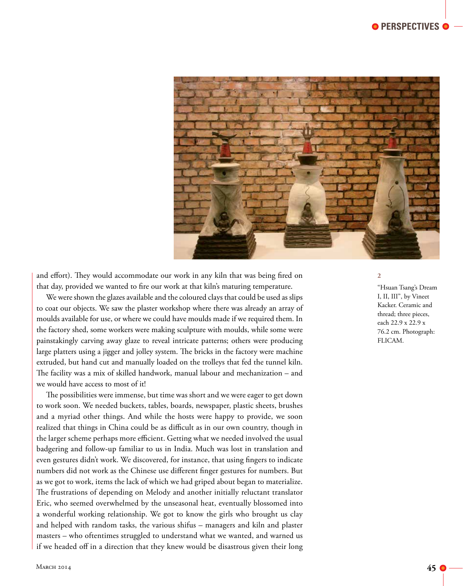

and effort). They would accommodate our work in any kiln that was being fired on that day, provided we wanted to fire our work at that kiln's maturing temperature.

We were shown the glazes available and the coloured clays that could be used as slips to coat our objects. We saw the plaster workshop where there was already an array of moulds available for use, or where we could have moulds made if we required them. In the factory shed, some workers were making sculpture with moulds, while some were painstakingly carving away glaze to reveal intricate patterns; others were producing large platters using a jigger and jolley system. The bricks in the factory were machine extruded, but hand cut and manually loaded on the trolleys that fed the tunnel kiln. The facility was a mix of skilled handwork, manual labour and mechanization – and we would have access to most of it!

The possibilities were immense, but time was short and we were eager to get down to work soon. We needed buckets, tables, boards, newspaper, plastic sheets, brushes and a myriad other things. And while the hosts were happy to provide, we soon realized that things in China could be as difficult as in our own country, though in the larger scheme perhaps more efficient. Getting what we needed involved the usual badgering and follow-up familiar to us in India. Much was lost in translation and even gestures didn't work. We discovered, for instance, that using fingers to indicate numbers did not work as the Chinese use different finger gestures for numbers. But as we got to work, items the lack of which we had griped about began to materialize. The frustrations of depending on Melody and another initially reluctant translator Eric, who seemed overwhelmed by the unseasonal heat, eventually blossomed into a wonderful working relationship. We got to know the girls who brought us clay and helped with random tasks, the various shifus – managers and kiln and plaster masters – who oftentimes struggled to understand what we wanted, and warned us if we headed off in a direction that they knew would be disastrous given their long

#### **2**

"Hsuan Tsang's Dream I, II, III", by Vineet Kacker. Ceramic and thread; three pieces, each 22.9 x 22.9 x 76.2 cm. Photograph: FLICAM.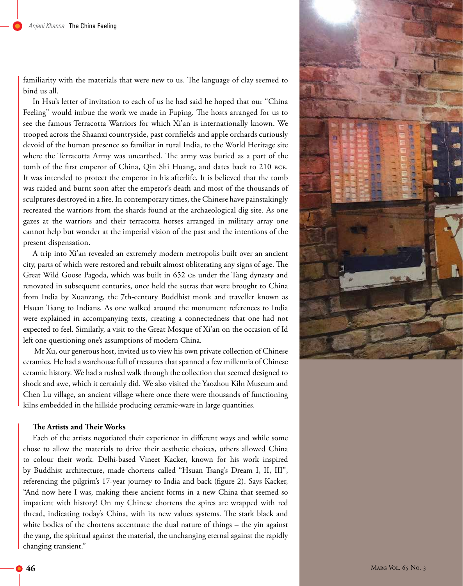familiarity with the materials that were new to us. The language of clay seemed to bind us all.

In Hsu's letter of invitation to each of us he had said he hoped that our "China Feeling" would imbue the work we made in Fuping. The hosts arranged for us to see the famous Terracotta Warriors for which Xi'an is internationally known. We trooped across the Shaanxi countryside, past cornfields and apple orchards curiously devoid of the human presence so familiar in rural India, to the World Heritage site where the Terracotta Army was unearthed. The army was buried as a part of the tomb of the first emperor of China, Qin Shi Huang, and dates back to 210 BCE. It was intended to protect the emperor in his afterlife. It is believed that the tomb was raided and burnt soon after the emperor's death and most of the thousands of sculptures destroyed in a fire. In contemporary times, the Chinese have painstakingly recreated the warriors from the shards found at the archaeological dig site. As one gazes at the warriors and their terracotta horses arranged in military array one cannot help but wonder at the imperial vision of the past and the intentions of the present dispensation.

A trip into Xi'an revealed an extremely modern metropolis built over an ancient city, parts of which were restored and rebuilt almost obliterating any signs of age. The Great Wild Goose Pagoda, which was built in 652 ce under the Tang dynasty and renovated in subsequent centuries, once held the sutras that were brought to China from India by Xuanzang, the 7th-century Buddhist monk and traveller known as Hsuan Tsang to Indians. As one walked around the monument references to India were explained in accompanying texts, creating a connectedness that one had not expected to feel. Similarly, a visit to the Great Mosque of Xi'an on the occasion of Id left one questioning one's assumptions of modern China.

Mr Xu, our generous host, invited us to view his own private collection of Chinese ceramics. He had a warehouse full of treasures that spanned a few millennia of Chinese ceramic history. We had a rushed walk through the collection that seemed designed to shock and awe, which it certainly did. We also visited the Yaozhou Kiln Museum and Chen Lu village, an ancient village where once there were thousands of functioning kilns embedded in the hillside producing ceramic-ware in large quantities.

#### **The Artists and Their Works**

Each of the artists negotiated their experience in different ways and while some chose to allow the materials to drive their aesthetic choices, others allowed China to colour their work. Delhi-based Vineet Kacker, known for his work inspired by Buddhist architecture, made chortens called "Hsuan Tsang's Dream I, II, III", referencing the pilgrim's 17-year journey to India and back (figure 2). Says Kacker, "And now here I was, making these ancient forms in a new China that seemed so impatient with history! On my Chinese chortens the spires are wrapped with red thread, indicating today's China, with its new values systems. The stark black and white bodies of the chortens accentuate the dual nature of things – the yin against the yang, the spiritual against the material, the unchanging eternal against the rapidly changing transient."

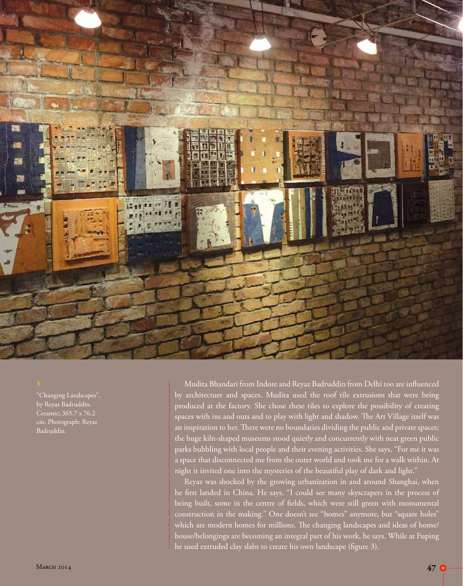

"Changing Landscapes", by Reyaz Badruddin. Ceramic; 365.7 x 76.2 cm. Photograph: Reyaz Badruddin.

Mudita Bhandari from Indore and Reyaz Badruddin from Delhi too are influenced by architecture and spaces. Mudita used the roof tile extrusions that were being produced at the factory. She chose these tiles to explore the possibility of creating spaces with ins and outs and to play with light and shadow. The Art Village itself was an inspiration to her. There were no boundaries dividing the public and private spaces; the huge kiln-shaped museums stood quietly and concurrently with neat green public parks bubbling with local people and their evening activities. She says, "For me it was a space that disconnected me from the outer world and took me for a walk within. At night it invited one into the mysteries of the beautiful play of dark and light."

Reyaz was shocked by the growing urbanization in and around Shanghai, when he first landed in China. He says, "I could see many skyscrapers in the process of being built, some in the centre of fields, which were still green with monumental construction in the making." One doesn't see "homes" anymore, but "square holes" which are modern homes for millions. The changing landscapes and ideas of home/ house/belongings are becoming an integral part of his work, he says. While at Fuping he used extruded clay slabs to create his own landscape (figure 3).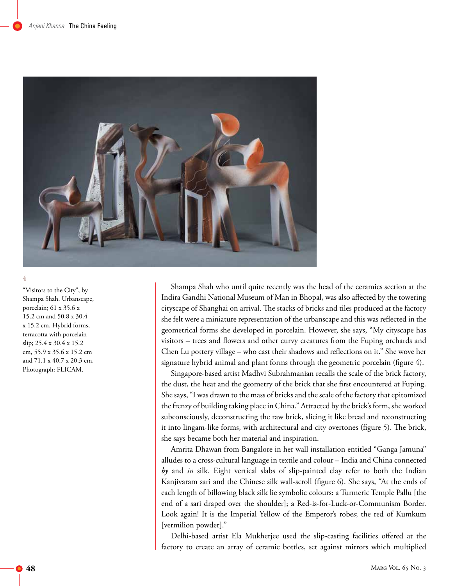

"Visitors to the City", by Shampa Shah. Urbanscape, porcelain; 61 x 35.6 x 15.2 cm and 50.8 x 30.4 x 15.2 cm. Hybrid forms, terracotta with porcelain slip; 25.4 x 30.4 x 15.2 cm, 55.9 x 35.6 x 15.2 cm and 71.1 x 40.7 x 20.3 cm. Photograph: FLICAM.

Shampa Shah who until quite recently was the head of the ceramics section at the Indira Gandhi National Museum of Man in Bhopal, was also affected by the towering cityscape of Shanghai on arrival. The stacks of bricks and tiles produced at the factory she felt were a miniature representation of the urbanscape and this was reflected in the geometrical forms she developed in porcelain. However, she says, "My cityscape has visitors – trees and flowers and other curvy creatures from the Fuping orchards and Chen Lu pottery village – who cast their shadows and reflections on it." She wove her signature hybrid animal and plant forms through the geometric porcelain (figure 4).

Singapore-based artist Madhvi Subrahmanian recalls the scale of the brick factory, the dust, the heat and the geometry of the brick that she first encountered at Fuping. She says, "I was drawn to the mass of bricks and the scale of the factory that epitomized the frenzy of building taking place in China." Attracted by the brick's form, she worked subconsciously, deconstructing the raw brick, slicing it like bread and reconstructing it into lingam-like forms, with architectural and city overtones (figure 5). The brick, she says became both her material and inspiration.

Amrita Dhawan from Bangalore in her wall installation entitled "Ganga Jamuna" alludes to a cross-cultural language in textile and colour – India and China connected *by* and *in* silk. Eight vertical slabs of slip-painted clay refer to both the Indian Kanjivaram sari and the Chinese silk wall-scroll (figure 6). She says, "At the ends of each length of billowing black silk lie symbolic colours: a Turmeric Temple Pallu [the end of a sari draped over the shoulder]; a Red-is-for-Luck-or-Communism Border. Look again! It is the Imperial Yellow of the Emperor's robes; the red of Kumkum [vermilion powder]."

Delhi-based artist Ela Mukherjee used the slip-casting facilities offered at the factory to create an array of ceramic bottles, set against mirrors which multiplied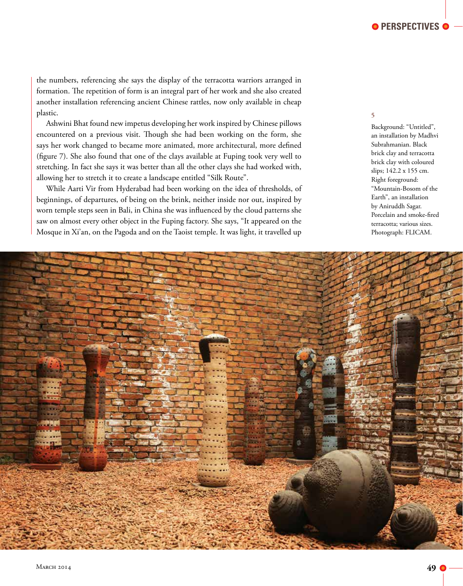the numbers, referencing she says the display of the terracotta warriors arranged in formation. The repetition of form is an integral part of her work and she also created another installation referencing ancient Chinese rattles, now only available in cheap plastic.

Ashwini Bhat found new impetus developing her work inspired by Chinese pillows encountered on a previous visit. Though she had been working on the form, she says her work changed to became more animated, more architectural, more defined (figure 7). She also found that one of the clays available at Fuping took very well to stretching. In fact she says it was better than all the other clays she had worked with, allowing her to stretch it to create a landscape entitled "Silk Route".

While Aarti Vir from Hyderabad had been working on the idea of thresholds, of beginnings, of departures, of being on the brink, neither inside nor out, inspired by worn temple steps seen in Bali, in China she was influenced by the cloud patterns she saw on almost every other object in the Fuping factory. She says, "It appeared on the Mosque in Xi'an, on the Pagoda and on the Taoist temple. It was light, it travelled up

## **5**

Background: "Untitled", an installation by Madhvi Subrahmanian. Black brick clay and terracotta brick clay with coloured slips; 142.2 x 155 cm. Right foreground: "Mountain-Bosom of the Earth", an installation by Aniruddh Sagar. Porcelain and smoke-fired terracotta; various sizes. Photograph: FLICAM.

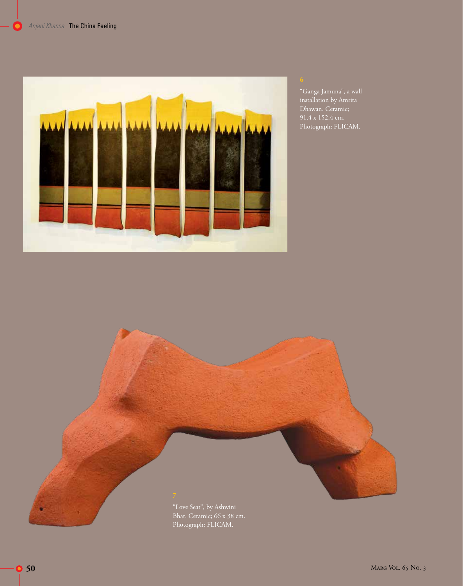

"Ganga Jamuna", a wall installation by Amrita Dhawan. Ceramic; Photograph: FLICAM.



Bhat. Ceramic; 66 x 38 cm. Photograph: FLICAM.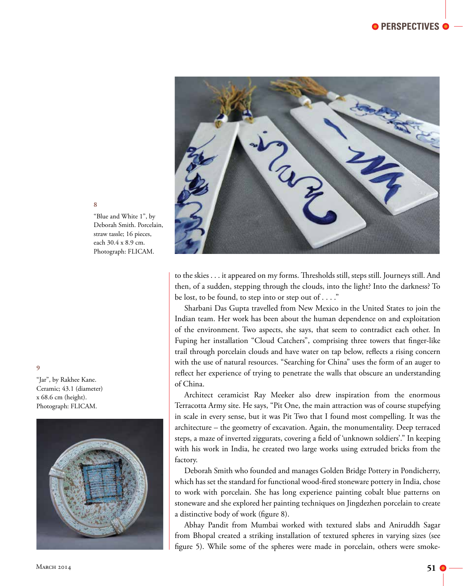

"Blue and White 1", by Deborah Smith. Porcelain, straw tassle; 16 pieces, each 30.4 x 8.9 cm. Photograph: FLICAM.

**9**

"Jar", by Rakhee Kane. Ceramic; 43.1 (diameter) x 68.6 cm (height). Photograph: FLICAM.



to the skies . . . it appeared on my forms. Thresholds still, steps still. Journeys still. And then, of a sudden, stepping through the clouds, into the light? Into the darkness? To be lost, to be found, to step into or step out of . . . ."

Sharbani Das Gupta travelled from New Mexico in the United States to join the Indian team. Her work has been about the human dependence on and exploitation of the environment. Two aspects, she says, that seem to contradict each other. In Fuping her installation "Cloud Catchers", comprising three towers that finger-like trail through porcelain clouds and have water on tap below, reflects a rising concern with the use of natural resources. "Searching for China" uses the form of an auger to reflect her experience of trying to penetrate the walls that obscure an understanding of China.

Architect ceramicist Ray Meeker also drew inspiration from the enormous Terracotta Army site. He says, "Pit One, the main attraction was of course stupefying in scale in every sense, but it was Pit Two that I found most compelling. It was the architecture – the geometry of excavation. Again, the monumentality. Deep terraced steps, a maze of inverted ziggurats, covering a field of 'unknown soldiers'." In keeping with his work in India, he created two large works using extruded bricks from the factory.

Deborah Smith who founded and manages Golden Bridge Pottery in Pondicherry, which has set the standard for functional wood-fired stoneware pottery in India, chose to work with porcelain. She has long experience painting cobalt blue patterns on stoneware and she explored her painting techniques on Jingdezhen porcelain to create a distinctive body of work (figure 8).

Abhay Pandit from Mumbai worked with textured slabs and Aniruddh Sagar from Bhopal created a striking installation of textured spheres in varying sizes (see figure 5). While some of the spheres were made in porcelain, others were smoke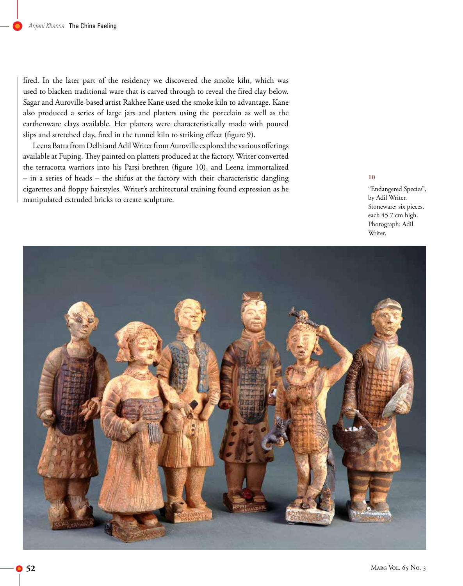fired. In the later part of the residency we discovered the smoke kiln, which was used to blacken traditional ware that is carved through to reveal the fired clay below. Sagar and Auroville-based artist Rakhee Kane used the smoke kiln to advantage. Kane also produced a series of large jars and platters using the porcelain as well as the earthenware clays available. Her platters were characteristically made with poured slips and stretched clay, fired in the tunnel kiln to striking effect (figure 9).

Leena Batra from Delhi and Adil Writer from Auroville explored the various offerings available at Fuping. They painted on platters produced at the factory. Writer converted the terracotta warriors into his Parsi brethren (figure 10), and Leena immortalized – in a series of heads – the shifus at the factory with their characteristic dangling cigarettes and floppy hairstyles. Writer's architectural training found expression as he manipulated extruded bricks to create sculpture.

#### **10**

"Endangered Species", by Adil Writer. Stoneware; six pieces, each 45.7 cm high. Photograph: Adil Writer.

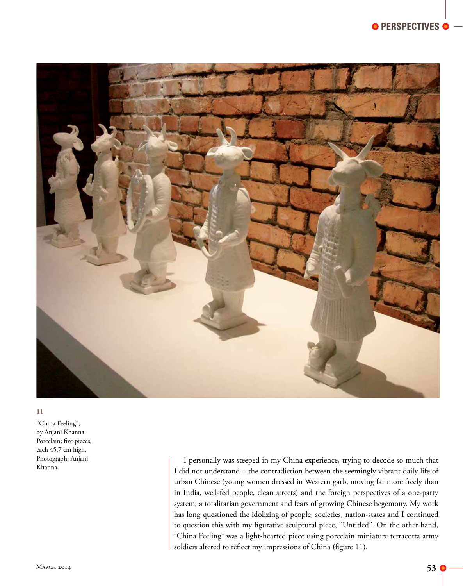

"China Feeling", by Anjani Khanna. Porcelain; five pieces, each 45.7 cm high. Photograph: Anjani Khanna.

I personally was steeped in my China experience, trying to decode so much that I did not understand – the contradiction between the seemingly vibrant daily life of urban Chinese (young women dressed in Western garb, moving far more freely than in India, well-fed people, clean streets) and the foreign perspectives of a one-party system, a totalitarian government and fears of growing Chinese hegemony. My work has long questioned the idolizing of people, societies, nation-states and I continued to question this with my figurative sculptural piece, "Untitled". On the other hand, "China Feeling" was a light-hearted piece using porcelain miniature terracotta army soldiers altered to reflect my impressions of China (figure 11).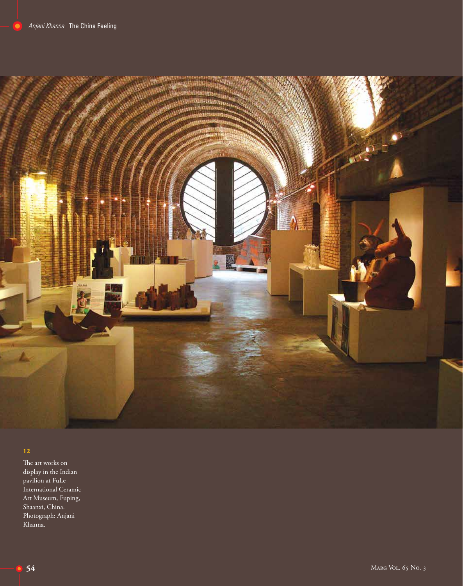

The art works on display in the Indian pavilion at FuLe International Ceramic Art Museum, Fuping, Shaanxi, China. Photograph: Anjani Khanna.